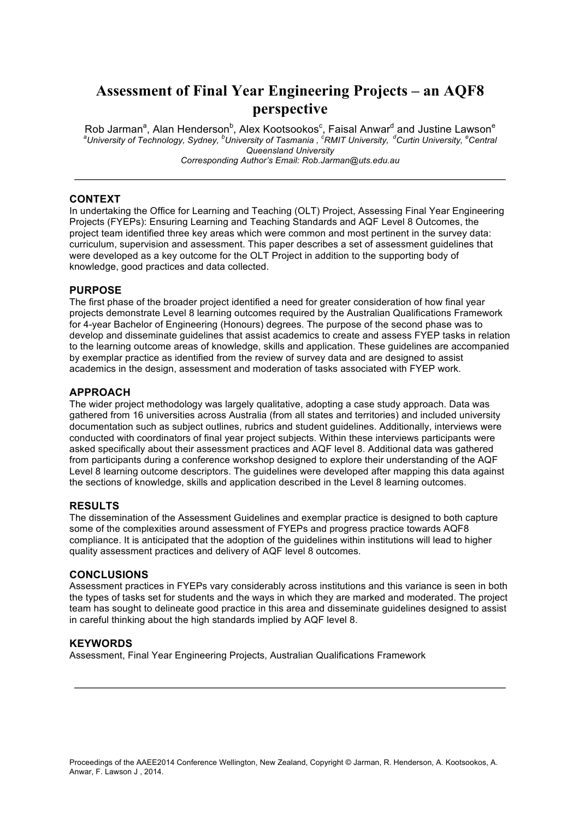## **Assessment of Final Year Engineering Projects – an AQF8 perspective**

Rob Jarman<sup>a</sup>, Alan Henderson<sup>b</sup>, Alex Kootsookos<sup>c</sup>, Faisal Anwar<sup>d</sup> and Justine Lawson<sup>e</sup><br><sup>a</sup>University of Technology, Sydney, <sup>b</sup>University of Tasmania, <sup>c</sup>RMIT University, <sup>d</sup>Curtin University, <sup>e</sup>Central *Queensland University Corresponding Author's Email: Rob.Jarman@uts.edu.au*

### **CONTEXT**

In undertaking the Office for Learning and Teaching (OLT) Project, Assessing Final Year Engineering Projects (FYEPs): Ensuring Learning and Teaching Standards and AQF Level 8 Outcomes, the project team identified three key areas which were common and most pertinent in the survey data: curriculum, supervision and assessment. This paper describes a set of assessment guidelines that were developed as a key outcome for the OLT Project in addition to the supporting body of knowledge, good practices and data collected.

### **PURPOSE**

The first phase of the broader project identified a need for greater consideration of how final year projects demonstrate Level 8 learning outcomes required by the Australian Qualifications Framework for 4-year Bachelor of Engineering (Honours) degrees. The purpose of the second phase was to develop and disseminate guidelines that assist academics to create and assess FYEP tasks in relation to the learning outcome areas of knowledge, skills and application. These guidelines are accompanied by exemplar practice as identified from the review of survey data and are designed to assist academics in the design, assessment and moderation of tasks associated with FYEP work.

### **APPROACH**

The wider project methodology was largely qualitative, adopting a case study approach. Data was gathered from 16 universities across Australia (from all states and territories) and included university documentation such as subject outlines, rubrics and student guidelines. Additionally, interviews were conducted with coordinators of final year project subjects. Within these interviews participants were asked specifically about their assessment practices and AQF level 8. Additional data was gathered from participants during a conference workshop designed to explore their understanding of the AQF Level 8 learning outcome descriptors. The guidelines were developed after mapping this data against the sections of knowledge, skills and application described in the Level 8 learning outcomes.

### **RESULTS**

The dissemination of the Assessment Guidelines and exemplar practice is designed to both capture some of the complexities around assessment of FYEPs and progress practice towards AQF8 compliance. It is anticipated that the adoption of the guidelines within institutions will lead to higher quality assessment practices and delivery of AQF level 8 outcomes.

#### **CONCLUSIONS**

Assessment practices in FYEPs vary considerably across institutions and this variance is seen in both the types of tasks set for students and the ways in which they are marked and moderated. The project team has sought to delineate good practice in this area and disseminate guidelines designed to assist in careful thinking about the high standards implied by AQF level 8.

### **KEYWORDS**

Assessment, Final Year Engineering Projects, Australian Qualifications Framework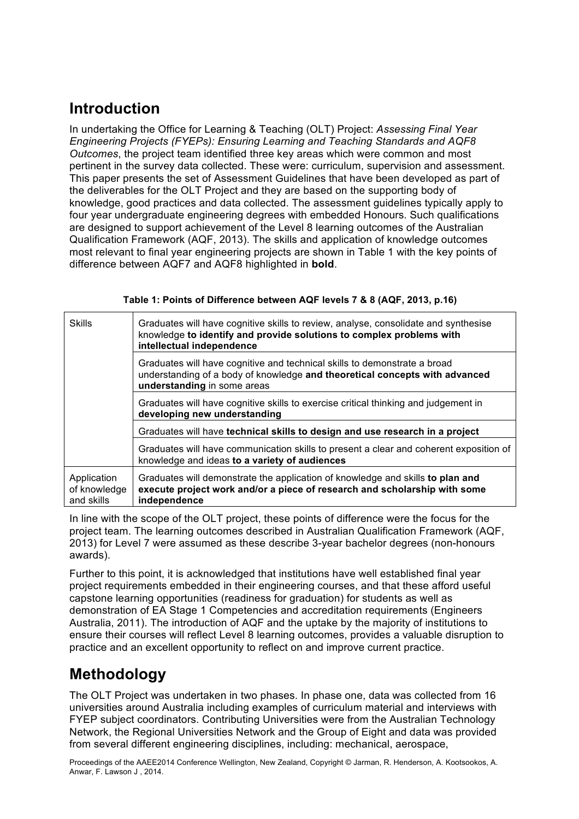# **Introduction**

In undertaking the Office for Learning & Teaching (OLT) Project: *Assessing Final Year Engineering Projects (FYEPs): Ensuring Learning and Teaching Standards and AQF8 Outcomes*, the project team identified three key areas which were common and most pertinent in the survey data collected. These were: curriculum, supervision and assessment. This paper presents the set of Assessment Guidelines that have been developed as part of the deliverables for the OLT Project and they are based on the supporting body of knowledge, good practices and data collected. The assessment guidelines typically apply to four year undergraduate engineering degrees with embedded Honours. Such qualifications are designed to support achievement of the Level 8 learning outcomes of the Australian Qualification Framework (AQF, 2013). The skills and application of knowledge outcomes most relevant to final year engineering projects are shown in Table 1 with the key points of difference between AQF7 and AQF8 highlighted in **bold**.

### **Table 1: Points of Difference between AQF levels 7 & 8 (AQF, 2013, p.16)**

| Skills                                    | Graduates will have cognitive skills to review, analyse, consolidate and synthesise<br>knowledge to identify and provide solutions to complex problems with<br>intellectual independence |  |
|-------------------------------------------|------------------------------------------------------------------------------------------------------------------------------------------------------------------------------------------|--|
|                                           | Graduates will have cognitive and technical skills to demonstrate a broad<br>understanding of a body of knowledge and theoretical concepts with advanced<br>understanding in some areas  |  |
|                                           | Graduates will have cognitive skills to exercise critical thinking and judgement in<br>developing new understanding                                                                      |  |
|                                           | Graduates will have technical skills to design and use research in a project                                                                                                             |  |
|                                           | Graduates will have communication skills to present a clear and coherent exposition of<br>knowledge and ideas to a variety of audiences                                                  |  |
| Application<br>of knowledge<br>and skills | Graduates will demonstrate the application of knowledge and skills to plan and<br>execute project work and/or a piece of research and scholarship with some<br>independence              |  |

In line with the scope of the OLT project, these points of difference were the focus for the project team. The learning outcomes described in Australian Qualification Framework (AQF, 2013) for Level 7 were assumed as these describe 3-year bachelor degrees (non-honours awards).

Further to this point, it is acknowledged that institutions have well established final year project requirements embedded in their engineering courses, and that these afford useful capstone learning opportunities (readiness for graduation) for students as well as demonstration of EA Stage 1 Competencies and accreditation requirements (Engineers Australia, 2011). The introduction of AQF and the uptake by the majority of institutions to ensure their courses will reflect Level 8 learning outcomes, provides a valuable disruption to practice and an excellent opportunity to reflect on and improve current practice.

## **Methodology**

The OLT Project was undertaken in two phases. In phase one, data was collected from 16 universities around Australia including examples of curriculum material and interviews with FYEP subject coordinators. Contributing Universities were from the Australian Technology Network, the Regional Universities Network and the Group of Eight and data was provided from several different engineering disciplines, including: mechanical, aerospace,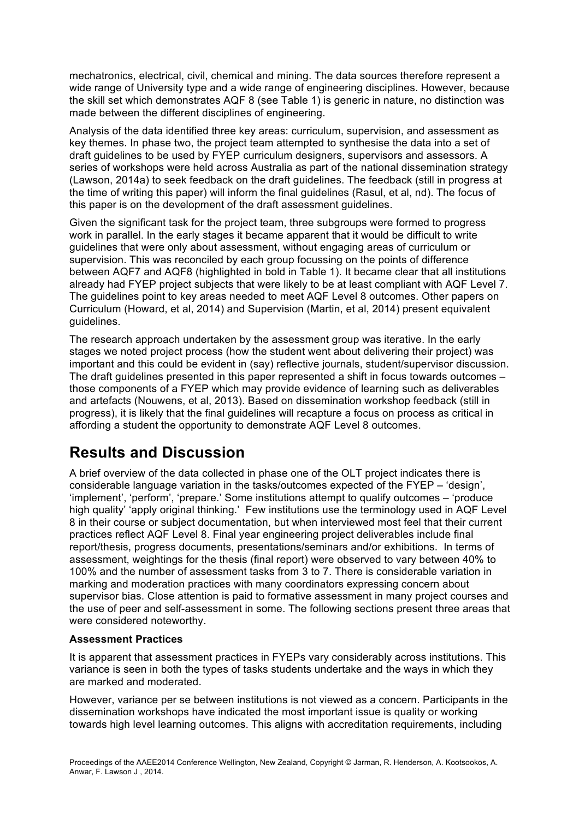mechatronics, electrical, civil, chemical and mining. The data sources therefore represent a wide range of University type and a wide range of engineering disciplines. However, because the skill set which demonstrates AQF 8 (see Table 1) is generic in nature, no distinction was made between the different disciplines of engineering.

Analysis of the data identified three key areas: curriculum, supervision, and assessment as key themes. In phase two, the project team attempted to synthesise the data into a set of draft guidelines to be used by FYEP curriculum designers, supervisors and assessors. A series of workshops were held across Australia as part of the national dissemination strategy (Lawson, 2014a) to seek feedback on the draft guidelines. The feedback (still in progress at the time of writing this paper) will inform the final guidelines (Rasul, et al, nd). The focus of this paper is on the development of the draft assessment guidelines.

Given the significant task for the project team, three subgroups were formed to progress work in parallel. In the early stages it became apparent that it would be difficult to write guidelines that were only about assessment, without engaging areas of curriculum or supervision. This was reconciled by each group focussing on the points of difference between AQF7 and AQF8 (highlighted in bold in Table 1). It became clear that all institutions already had FYEP project subjects that were likely to be at least compliant with AQF Level 7. The guidelines point to key areas needed to meet AQF Level 8 outcomes. Other papers on Curriculum (Howard, et al, 2014) and Supervision (Martin, et al, 2014) present equivalent guidelines.

The research approach undertaken by the assessment group was iterative. In the early stages we noted project process (how the student went about delivering their project) was important and this could be evident in (say) reflective journals, student/supervisor discussion. The draft guidelines presented in this paper represented a shift in focus towards outcomes – those components of a FYEP which may provide evidence of learning such as deliverables and artefacts (Nouwens, et al, 2013). Based on dissemination workshop feedback (still in progress), it is likely that the final guidelines will recapture a focus on process as critical in affording a student the opportunity to demonstrate AQF Level 8 outcomes.

# **Results and Discussion**

A brief overview of the data collected in phase one of the OLT project indicates there is considerable language variation in the tasks/outcomes expected of the FYEP – 'design', 'implement', 'perform', 'prepare.' Some institutions attempt to qualify outcomes – 'produce high quality' 'apply original thinking.' Few institutions use the terminology used in AQF Level 8 in their course or subject documentation, but when interviewed most feel that their current practices reflect AQF Level 8. Final year engineering project deliverables include final report/thesis, progress documents, presentations/seminars and/or exhibitions. In terms of assessment, weightings for the thesis (final report) were observed to vary between 40% to 100% and the number of assessment tasks from 3 to 7. There is considerable variation in marking and moderation practices with many coordinators expressing concern about supervisor bias. Close attention is paid to formative assessment in many project courses and the use of peer and self-assessment in some. The following sections present three areas that were considered noteworthy.

## **Assessment Practices**

It is apparent that assessment practices in FYEPs vary considerably across institutions. This variance is seen in both the types of tasks students undertake and the ways in which they are marked and moderated.

However, variance per se between institutions is not viewed as a concern. Participants in the dissemination workshops have indicated the most important issue is quality or working towards high level learning outcomes. This aligns with accreditation requirements, including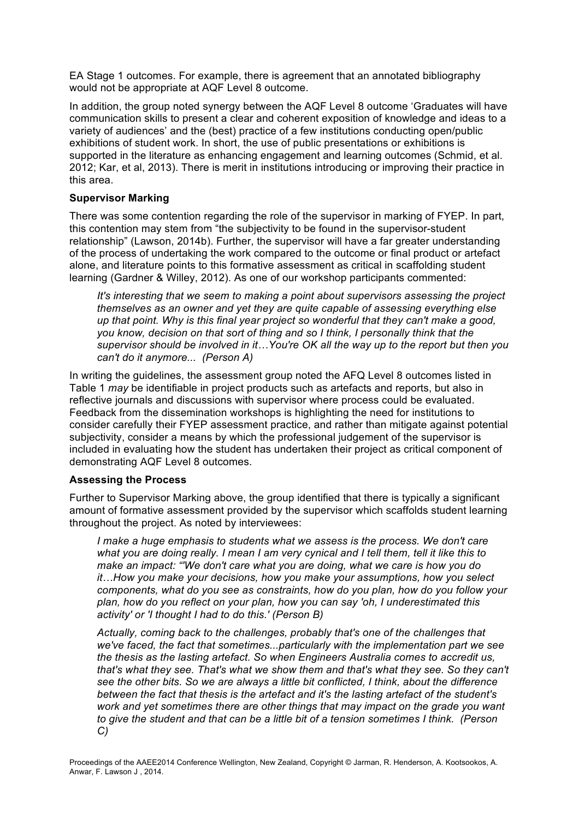EA Stage 1 outcomes. For example, there is agreement that an annotated bibliography would not be appropriate at AQF Level 8 outcome.

In addition, the group noted synergy between the AQF Level 8 outcome 'Graduates will have communication skills to present a clear and coherent exposition of knowledge and ideas to a variety of audiences' and the (best) practice of a few institutions conducting open/public exhibitions of student work. In short, the use of public presentations or exhibitions is supported in the literature as enhancing engagement and learning outcomes (Schmid, et al. 2012; Kar, et al, 2013). There is merit in institutions introducing or improving their practice in this area.

### **Supervisor Marking**

There was some contention regarding the role of the supervisor in marking of FYEP. In part, this contention may stem from "the subjectivity to be found in the supervisor-student relationship" (Lawson, 2014b). Further, the supervisor will have a far greater understanding of the process of undertaking the work compared to the outcome or final product or artefact alone, and literature points to this formative assessment as critical in scaffolding student learning (Gardner & Willey, 2012). As one of our workshop participants commented:

*It's interesting that we seem to making a point about supervisors assessing the project themselves as an owner and yet they are quite capable of assessing everything else up that point. Why is this final year project so wonderful that they can't make a good, you know, decision on that sort of thing and so I think, I personally think that the supervisor should be involved in it…You're OK all the way up to the report but then you can't do it anymore... (Person A)*

In writing the guidelines, the assessment group noted the AFQ Level 8 outcomes listed in Table 1 *may* be identifiable in project products such as artefacts and reports, but also in reflective journals and discussions with supervisor where process could be evaluated. Feedback from the dissemination workshops is highlighting the need for institutions to consider carefully their FYEP assessment practice, and rather than mitigate against potential subjectivity, consider a means by which the professional judgement of the supervisor is included in evaluating how the student has undertaken their project as critical component of demonstrating AQF Level 8 outcomes.

### **Assessing the Process**

Further to Supervisor Marking above, the group identified that there is typically a significant amount of formative assessment provided by the supervisor which scaffolds student learning throughout the project. As noted by interviewees:

*I* make a huge emphasis to students what we assess is the process. We don't care *what you are doing really. I mean I am very cynical and I tell them, tell it like this to make an impact: "'We don't care what you are doing, what we care is how you do it…How you make your decisions, how you make your assumptions, how you select components, what do you see as constraints, how do you plan, how do you follow your plan, how do you reflect on your plan, how you can say 'oh, I underestimated this activity' or 'I thought I had to do this.' (Person B)*

*Actually, coming back to the challenges, probably that's one of the challenges that we've faced, the fact that sometimes...particularly with the implementation part we see the thesis as the lasting artefact. So when Engineers Australia comes to accredit us, that's what they see. That's what we show them and that's what they see. So they can't see the other bits. So we are always a little bit conflicted, I think, about the difference between the fact that thesis is the artefact and it's the lasting artefact of the student's work and yet sometimes there are other things that may impact on the grade you want to give the student and that can be a little bit of a tension sometimes I think. (Person C)*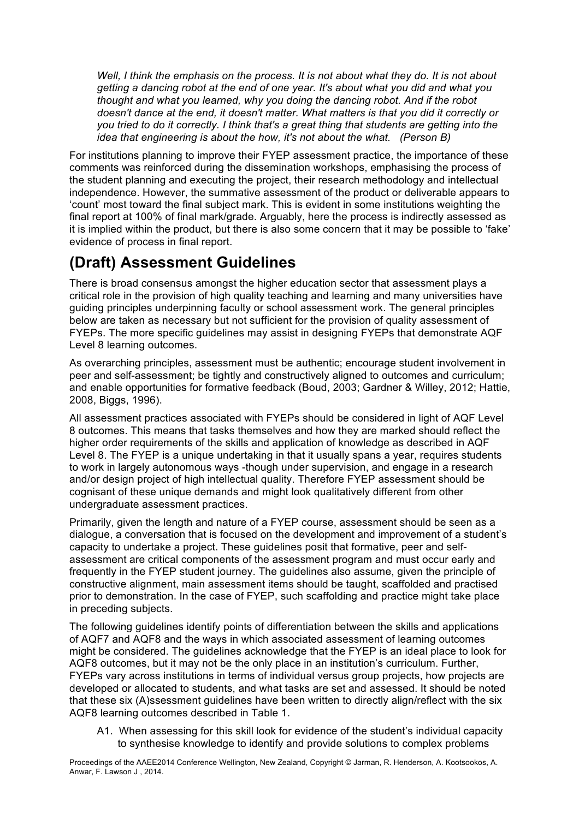*Well, I think the emphasis on the process. It is not about what they do. It is not about getting a dancing robot at the end of one year. It's about what you did and what you thought and what you learned, why you doing the dancing robot. And if the robot doesn't dance at the end, it doesn't matter. What matters is that you did it correctly or you tried to do it correctly. I think that's a great thing that students are getting into the idea that engineering is about the how, it's not about the what. (Person B)*

For institutions planning to improve their FYEP assessment practice, the importance of these comments was reinforced during the dissemination workshops, emphasising the process of the student planning and executing the project, their research methodology and intellectual independence. However, the summative assessment of the product or deliverable appears to 'count' most toward the final subject mark. This is evident in some institutions weighting the final report at 100% of final mark/grade. Arguably, here the process is indirectly assessed as it is implied within the product, but there is also some concern that it may be possible to 'fake' evidence of process in final report.

## **(Draft) Assessment Guidelines**

There is broad consensus amongst the higher education sector that assessment plays a critical role in the provision of high quality teaching and learning and many universities have guiding principles underpinning faculty or school assessment work. The general principles below are taken as necessary but not sufficient for the provision of quality assessment of FYEPs. The more specific guidelines may assist in designing FYEPs that demonstrate AQF Level 8 learning outcomes.

As overarching principles, assessment must be authentic; encourage student involvement in peer and self-assessment; be tightly and constructively aligned to outcomes and curriculum; and enable opportunities for formative feedback (Boud, 2003; Gardner & Willey, 2012; Hattie, 2008, Biggs, 1996).

All assessment practices associated with FYEPs should be considered in light of AQF Level 8 outcomes. This means that tasks themselves and how they are marked should reflect the higher order requirements of the skills and application of knowledge as described in AQF Level 8. The FYEP is a unique undertaking in that it usually spans a year, requires students to work in largely autonomous ways -though under supervision, and engage in a research and/or design project of high intellectual quality. Therefore FYEP assessment should be cognisant of these unique demands and might look qualitatively different from other undergraduate assessment practices.

Primarily, given the length and nature of a FYEP course, assessment should be seen as a dialogue, a conversation that is focused on the development and improvement of a student's capacity to undertake a project. These guidelines posit that formative, peer and selfassessment are critical components of the assessment program and must occur early and frequently in the FYEP student journey. The guidelines also assume, given the principle of constructive alignment, main assessment items should be taught, scaffolded and practised prior to demonstration. In the case of FYEP, such scaffolding and practice might take place in preceding subjects.

The following guidelines identify points of differentiation between the skills and applications of AQF7 and AQF8 and the ways in which associated assessment of learning outcomes might be considered. The guidelines acknowledge that the FYEP is an ideal place to look for AQF8 outcomes, but it may not be the only place in an institution's curriculum. Further, FYEPs vary across institutions in terms of individual versus group projects, how projects are developed or allocated to students, and what tasks are set and assessed. It should be noted that these six (A)ssessment guidelines have been written to directly align/reflect with the six AQF8 learning outcomes described in Table 1.

A1. When assessing for this skill look for evidence of the student's individual capacity to synthesise knowledge to identify and provide solutions to complex problems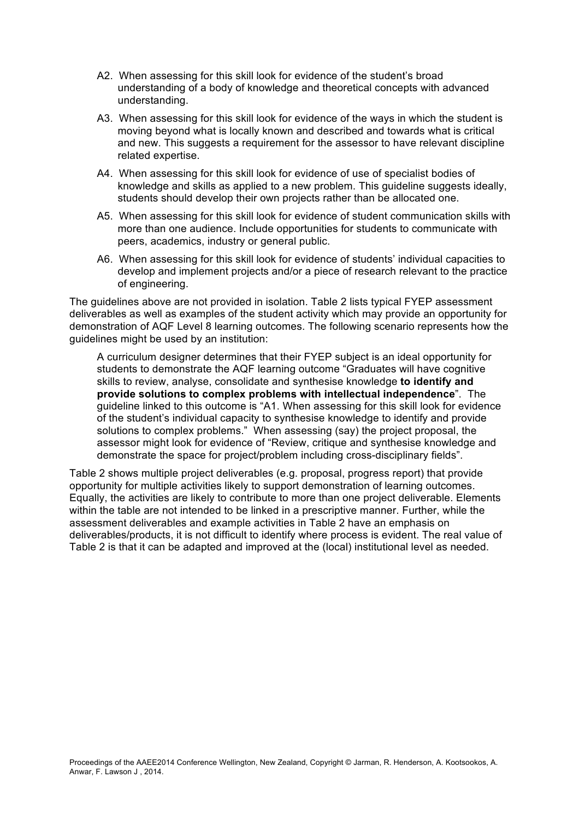- A2. When assessing for this skill look for evidence of the student's broad understanding of a body of knowledge and theoretical concepts with advanced understanding.
- A3. When assessing for this skill look for evidence of the ways in which the student is moving beyond what is locally known and described and towards what is critical and new. This suggests a requirement for the assessor to have relevant discipline related expertise.
- A4. When assessing for this skill look for evidence of use of specialist bodies of knowledge and skills as applied to a new problem. This guideline suggests ideally, students should develop their own projects rather than be allocated one.
- A5. When assessing for this skill look for evidence of student communication skills with more than one audience. Include opportunities for students to communicate with peers, academics, industry or general public.
- A6. When assessing for this skill look for evidence of students' individual capacities to develop and implement projects and/or a piece of research relevant to the practice of engineering.

The guidelines above are not provided in isolation. Table 2 lists typical FYEP assessment deliverables as well as examples of the student activity which may provide an opportunity for demonstration of AQF Level 8 learning outcomes. The following scenario represents how the guidelines might be used by an institution:

A curriculum designer determines that their FYEP subject is an ideal opportunity for students to demonstrate the AQF learning outcome "Graduates will have cognitive skills to review, analyse, consolidate and synthesise knowledge **to identify and provide solutions to complex problems with intellectual independence**". The guideline linked to this outcome is "A1. When assessing for this skill look for evidence of the student's individual capacity to synthesise knowledge to identify and provide solutions to complex problems." When assessing (say) the project proposal, the assessor might look for evidence of "Review, critique and synthesise knowledge and demonstrate the space for project/problem including cross-disciplinary fields".

Table 2 shows multiple project deliverables (e.g. proposal, progress report) that provide opportunity for multiple activities likely to support demonstration of learning outcomes. Equally, the activities are likely to contribute to more than one project deliverable. Elements within the table are not intended to be linked in a prescriptive manner. Further, while the assessment deliverables and example activities in Table 2 have an emphasis on deliverables/products, it is not difficult to identify where process is evident. The real value of Table 2 is that it can be adapted and improved at the (local) institutional level as needed.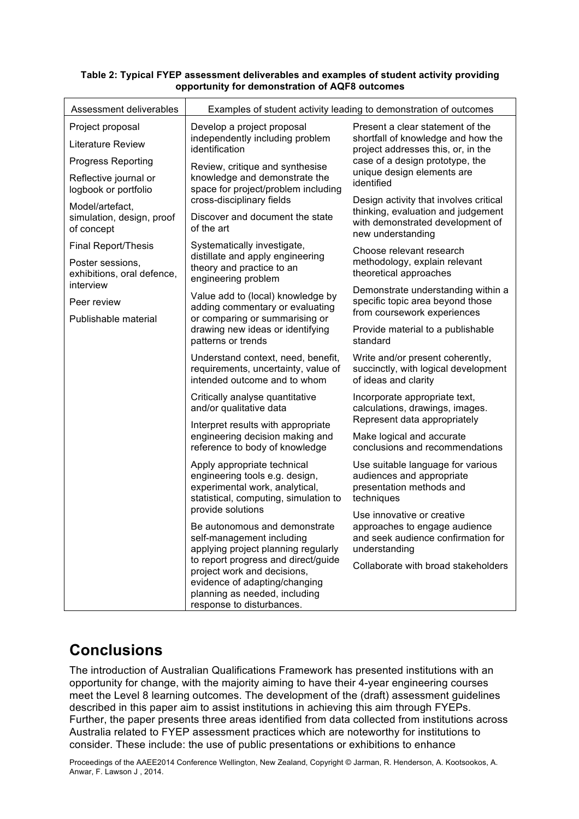| Assessment deliverables                        | Examples of student activity leading to demonstration of outcomes                                                                                                                                                                                                      |                                                                                                                                                                                             |  |
|------------------------------------------------|------------------------------------------------------------------------------------------------------------------------------------------------------------------------------------------------------------------------------------------------------------------------|---------------------------------------------------------------------------------------------------------------------------------------------------------------------------------------------|--|
| Project proposal                               | Develop a project proposal<br>independently including problem<br>identification                                                                                                                                                                                        | Present a clear statement of the<br>shortfall of knowledge and how the<br>project addresses this, or, in the<br>case of a design prototype, the<br>unique design elements are<br>identified |  |
| <b>Literature Review</b>                       |                                                                                                                                                                                                                                                                        |                                                                                                                                                                                             |  |
| <b>Progress Reporting</b>                      | Review, critique and synthesise<br>knowledge and demonstrate the<br>space for project/problem including<br>cross-disciplinary fields                                                                                                                                   |                                                                                                                                                                                             |  |
| Reflective journal or<br>logbook or portfolio  |                                                                                                                                                                                                                                                                        |                                                                                                                                                                                             |  |
| Model/artefact,                                |                                                                                                                                                                                                                                                                        | Design activity that involves critical<br>thinking, evaluation and judgement                                                                                                                |  |
| simulation, design, proof<br>of concept        | Discover and document the state<br>of the art                                                                                                                                                                                                                          | with demonstrated development of<br>new understanding                                                                                                                                       |  |
| <b>Final Report/Thesis</b>                     | Systematically investigate,                                                                                                                                                                                                                                            | Choose relevant research<br>methodology, explain relevant<br>theoretical approaches                                                                                                         |  |
| Poster sessions,<br>exhibitions, oral defence, | distillate and apply engineering<br>theory and practice to an<br>engineering problem                                                                                                                                                                                   |                                                                                                                                                                                             |  |
| interview<br>Peer review                       | Value add to (local) knowledge by                                                                                                                                                                                                                                      | Demonstrate understanding within a<br>specific topic area beyond those<br>from coursework experiences                                                                                       |  |
| Publishable material                           | adding commentary or evaluating<br>or comparing or summarising or<br>drawing new ideas or identifying<br>patterns or trends                                                                                                                                            |                                                                                                                                                                                             |  |
|                                                |                                                                                                                                                                                                                                                                        | Provide material to a publishable<br>standard                                                                                                                                               |  |
|                                                | Understand context, need, benefit,<br>requirements, uncertainty, value of<br>intended outcome and to whom                                                                                                                                                              | Write and/or present coherently,<br>succinctly, with logical development<br>of ideas and clarity                                                                                            |  |
|                                                | Critically analyse quantitative<br>and/or qualitative data                                                                                                                                                                                                             | Incorporate appropriate text,<br>calculations, drawings, images.                                                                                                                            |  |
|                                                | Interpret results with appropriate                                                                                                                                                                                                                                     | Represent data appropriately                                                                                                                                                                |  |
|                                                | engineering decision making and<br>reference to body of knowledge                                                                                                                                                                                                      | Make logical and accurate<br>conclusions and recommendations                                                                                                                                |  |
|                                                | Apply appropriate technical<br>engineering tools e.g. design,<br>experimental work, analytical,<br>statistical, computing, simulation to                                                                                                                               | Use suitable language for various<br>audiences and appropriate<br>presentation methods and<br>techniques                                                                                    |  |
|                                                | provide solutions                                                                                                                                                                                                                                                      | Use innovative or creative<br>approaches to engage audience<br>and seek audience confirmation for<br>understanding                                                                          |  |
|                                                | Be autonomous and demonstrate<br>self-management including<br>applying project planning regularly<br>to report progress and direct/guide<br>project work and decisions,<br>evidence of adapting/changing<br>planning as needed, including<br>response to disturbances. |                                                                                                                                                                                             |  |
|                                                |                                                                                                                                                                                                                                                                        | Collaborate with broad stakeholders                                                                                                                                                         |  |

#### **Table 2: Typical FYEP assessment deliverables and examples of student activity providing opportunity for demonstration of AQF8 outcomes**

## **Conclusions**

The introduction of Australian Qualifications Framework has presented institutions with an opportunity for change, with the majority aiming to have their 4-year engineering courses meet the Level 8 learning outcomes. The development of the (draft) assessment guidelines described in this paper aim to assist institutions in achieving this aim through FYEPs. Further, the paper presents three areas identified from data collected from institutions across Australia related to FYEP assessment practices which are noteworthy for institutions to consider. These include: the use of public presentations or exhibitions to enhance

Proceedings of the AAEE2014 Conference Wellington, New Zealand, Copyright © Jarman, R. Henderson, A. Kootsookos, A. Anwar, F. Lawson J , 2014.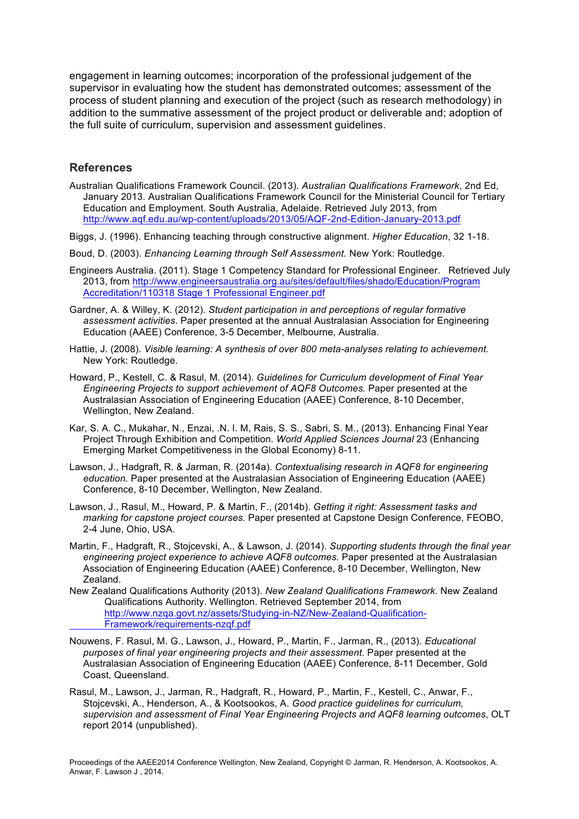engagement in learning outcomes; incorporation of the professional judgement of the supervisor in evaluating how the student has demonstrated outcomes; assessment of the process of student planning and execution of the project (such as research methodology) in addition to the summative assessment of the project product or deliverable and; adoption of the full suite of curriculum, supervision and assessment guidelines.

### **References**

- Australian Qualifications Framework Council. (2013). *Australian Qualifications Framework*, 2nd Ed, January 2013. Australian Qualifications Framework Council for the Ministerial Council for Tertiary Education and Employment. South Australia, Adelaide. Retrieved July 2013, from http://www.aqf.edu.au/wp-content/uploads/2013/05/AQF-2nd-Edition-January-2013.pdf
- Biggs, J. (1996). Enhancing teaching through constructive alignment. *Higher Education*, 32 1-18.
- Boud, D. (2003). *Enhancing Learning through Self Assessment.* New York: Routledge.
- Engineers Australia. (2011). Stage 1 Competency Standard for Professional Engineer. Retrieved July 2013, from http://www.engineersaustralia.org.au/sites/default/files/shado/Education/Program Accreditation/110318 Stage 1 Professional Engineer.pdf
- Gardner, A. & Willey, K. (2012). *Student participation in and perceptions of regular formative assessment activities*. Paper presented at the annual Australasian Association for Engineering Education (AAEE) Conference, 3-5 December, Melbourne, Australia.
- Hattie, J. (2008). *Visible learning: A synthesis of over 800 meta-analyses relating to achievement.*  New York: Routledge.
- Howard, P., Kestell, C. & Rasul, M. (2014). *Guidelines for Curriculum development of Final Year Engineering Projects to support achievement of AQF8 Outcomes.* Paper presented at the Australasian Association of Engineering Education (AAEE) Conference, 8-10 December, Wellington, New Zealand.
- Kar, S. A. C., Mukahar, N., Enzai, .N. I. M, Rais, S. S., Sabri, S. M., (2013). Enhancing Final Year Project Through Exhibition and Competition. *World Applied Sciences Journal* 23 (Enhancing Emerging Market Competitiveness in the Global Economy) 8-11.
- Lawson, J., Hadgraft, R. & Jarman, R. (2014a). *Contextualising research in AQF8 for engineering education.* Paper presented at the Australasian Association of Engineering Education (AAEE) Conference, 8-10 December, Wellington, New Zealand.
- Lawson, J., Rasul, M., Howard, P. & Martin, F., (2014b). *Getting it right: Assessment tasks and marking for capstone project courses.* Paper presented at Capstone Design Conference, FEOBO, 2-4 June, Ohio, USA.
- Martin, F., Hadgraft, R., Stojcevski, A., & Lawson, J. (2014). *Supporting students through the final year engineering project experience to achieve AQF8 outcomes.* Paper presented at the Australasian Association of Engineering Education (AAEE) Conference, 8-10 December, Wellington, New Zealand.
- New Zealand Qualifications Authority (2013). *New Zealand Qualifications Framework.* New Zealand Qualifications Authority. Wellington. Retrieved September 2014, from http://www.nzqa.govt.nz/assets/Studying-in-NZ/New-Zealand-Qualification-Framework/requirements-nzqf.pdf
- Nouwens, F. Rasul, M. G., Lawson, J., Howard, P., Martin, F., Jarman, R., (2013). *Educational purposes of final year engineering projects and their assessment*. Paper presented at the Australasian Association of Engineering Education (AAEE) Conference, 8-11 December, Gold Coast, Queensland.
- Rasul, M., Lawson, J., Jarman, R., Hadgraft, R., Howard, P., Martin, F., Kestell, C., Anwar, F., Stojcevski, A., Henderson, A., & Kootsookos, A. *Good practice guidelines for curriculum, supervision and assessment of Final Year Engineering Projects and AQF8 learning outcomes*, OLT report 2014 (unpublished).